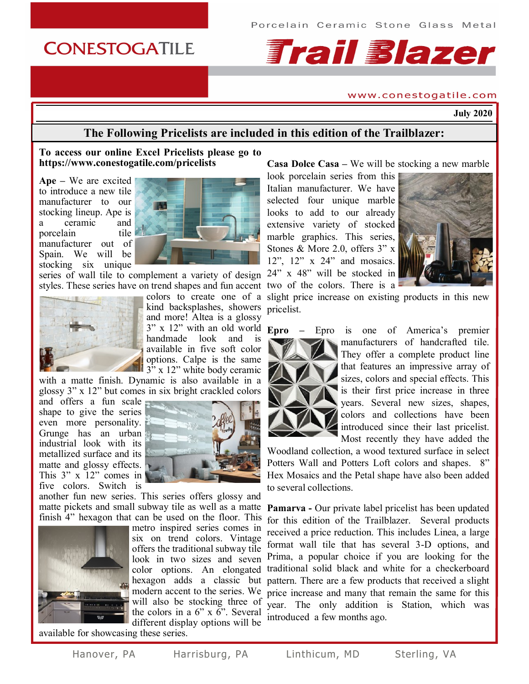## **CONESTOGATILE**

# **Frail Blazer**

#### www.conestogatile.com

**July 2020**

#### **The Following Pricelists are included in this edition of the Trailblazer:**

#### **To access our online Excel Pricelists please go to https://www.conestogatile.com/pricelists**

**Ape –** We are excited to introduce a new tile manufacturer to our stocking lineup. Ape is a ceramic and porcelain tile manufacturer out of Spain. We will be stocking six unique



series of wall tile to complement a variety of design styles. These series have on trend shapes and fun accent two of the colors. There is a



kind backsplashes, showers and more! Altea is a glossy 3" x 12" with an old world handmade look and is available in five soft color options. Calpe is the same  $3''$  x 12" white body ceramic

with a matte finish. Dynamic is also available in a glossy 3" x 12" but comes in six bright crackled colors

and offers a fun scale shape to give the series even more personality. Grunge has an urban industrial look with its metallized surface and its matte and glossy effects. This 3" x 12" comes in five colors. Switch is



another fun new series. This series offers glossy and matte pickets and small subway tile as well as a matte finish 4" hexagon that can be used on the floor. This



metro inspired series comes in six on trend colors. Vintage offers the traditional subway tile look in two sizes and seven color options. An elongated hexagon adds a classic but modern accent to the series. We will also be stocking three of the colors in a 6" x 6". Several different display options will be

**Casa Dolce Casa –** We will be stocking a new marble

look porcelain series from this Italian manufacturer. We have selected four unique marble looks to add to our already extensive variety of stocked marble graphics. This series, Stones & More 2.0, offers 3" x 12", 12" x 24" and mosaics. 24" x 48" will be stocked in



colors to create one of a slight price increase on existing products in this new pricelist.



**Epro –** Epro is one of America's premier manufacturers of handcrafted tile. They offer a complete product line that features an impressive array of sizes, colors and special effects. This is their first price increase in three years. Several new sizes, shapes, colors and collections have been introduced since their last pricelist. Most recently they have added the

Woodland collection, a wood textured surface in select Potters Wall and Potters Loft colors and shapes. 8" Hex Mosaics and the Petal shape have also been added to several collections.

**Pamarva -** Our private label pricelist has been updated for this edition of the Trailblazer. Several products received a price reduction. This includes Linea, a large format wall tile that has several 3-D options, and Prima, a popular choice if you are looking for the traditional solid black and white for a checkerboard pattern. There are a few products that received a slight price increase and many that remain the same for this year. The only addition is Station, which was introduced a few months ago.

available for showcasing these series.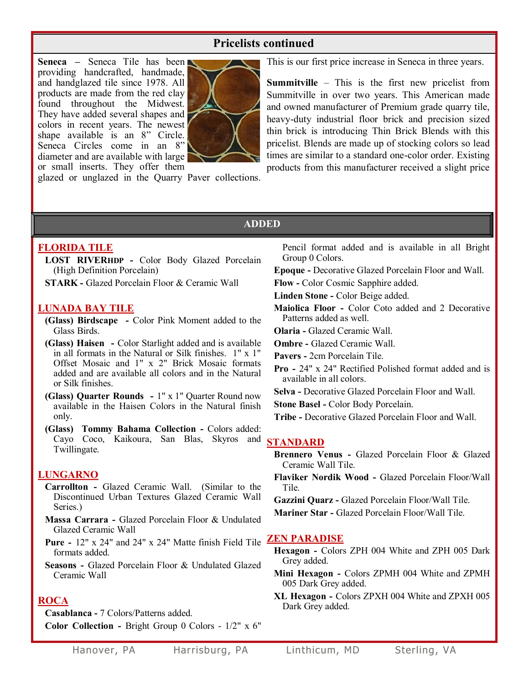#### **Pricelists continued**

**Seneca –** Seneca Tile has been providing handcrafted, handmade, and handglazed tile since 1978. All products are made from the red clay found throughout the Midwest. They have added several shapes and colors in recent years. The newest shape available is an 8" Circle. Seneca Circles come in an 8" diameter and are available with large or small inserts. They offer them



glazed or unglazed in the Quarry Paver collections.

This is our first price increase in Seneca in three years.

**Summitville** – This is the first new pricelist from Summitville in over two years. This American made and owned manufacturer of Premium grade quarry tile, heavy-duty industrial floor brick and precision sized thin brick is introducing Thin Brick Blends with this pricelist. Blends are made up of stocking colors so lead times are similar to a standard one-color order. Existing products from this manufacturer received a slight price

#### **ADDED**

#### **FLORIDA TILE**

**LOST RIVERHDP -** Color Body Glazed Porcelain (High Definition Porcelain)

**STARK -** Glazed Porcelain Floor & Ceramic Wall

#### **LUNADA BAY TILE**

- **(Glass) Birdscape -** Color Pink Moment added to the Glass Birds.
- **(Glass) Haisen -** Color Starlight added and is available in all formats in the Natural or Silk finishes. 1" x 1" Offset Mosaic and 1" x 2" Brick Mosaic formats added and are available all colors and in the Natural or Silk finishes.
- **(Glass) Quarter Rounds -** 1" x 1" Quarter Round now available in the Haisen Colors in the Natural finish only.
- **(Glass) Tommy Bahama Collection -** Colors added: Cayo Coco, Kaikoura, San Blas, Skyros and **STANDARD** Twillingate.

#### **LUNGARNO**

- **Carrollton -** Glazed Ceramic Wall. (Similar to the Discontinued Urban Textures Glazed Ceramic Wall Series.)
- **Massa Carrara -** Glazed Porcelain Floor & Undulated Glazed Ceramic Wall
- **Pure -** 12" x 24" and 24" x 24" Matte finish Field Tile **ZEN PARADISE** formats added.
- **Seasons -** Glazed Porcelain Floor & Undulated Glazed Ceramic Wall

#### **ROCA**

**Casablanca -** 7 Colors/Patterns added.

**Color Collection -** Bright Group 0 Colors - 1/2" x 6"

Pencil format added and is available in all Bright Group 0 Colors.

**Epoque -** Decorative Glazed Porcelain Floor and Wall.

- **Flow -** Color Cosmic Sapphire added.
- **Linden Stone -** Color Beige added.
- **Maiolica Floor -** Color Coto added and 2 Decorative Patterns added as well.
- **Olaria -** Glazed Ceramic Wall.
- **Ombre -** Glazed Ceramic Wall.
- **Pavers -** 2cm Porcelain Tile.
- **Pro -** 24" x 24" Rectified Polished format added and is available in all colors.
- **Selva -** Decorative Glazed Porcelain Floor and Wall.
- **Stone Basel -** Color Body Porcelain.
- **Tribe -** Decorative Glazed Porcelain Floor and Wall.

- **Brennero Venus -** Glazed Porcelain Floor & Glazed Ceramic Wall Tile.
- **Flaviker Nordik Wood -** Glazed Porcelain Floor/Wall Tile.
- **Gazzini Quarz -** Glazed Porcelain Floor/Wall Tile.
- **Mariner Star -** Glazed Porcelain Floor/Wall Tile.

- **Hexagon -** Colors ZPH 004 White and ZPH 005 Dark Grey added.
- **Mini Hexagon -** Colors ZPMH 004 White and ZPMH 005 Dark Grey added.
- **XL Hexagon -** Colors ZPXH 004 White and ZPXH 005 Dark Grey added.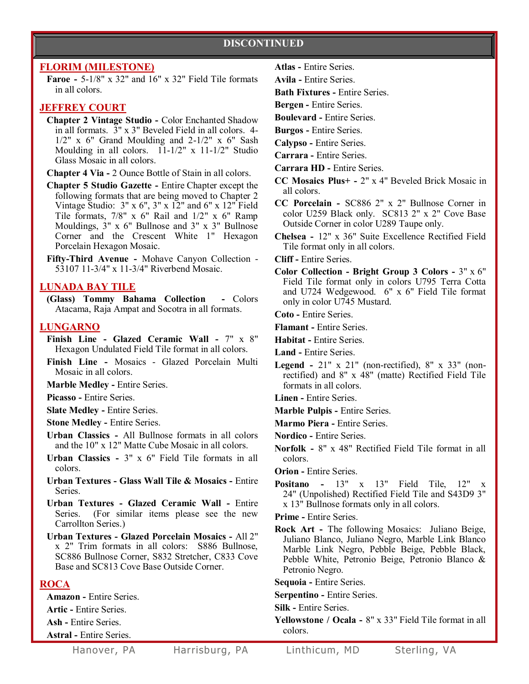#### **DISCONTINUED**

#### **FLORIM (MILESTONE)**

**Faroe -** 5-1/8" x 32" and 16" x 32" Field Tile formats in all colors.

#### **JEFFREY COURT**

**Chapter 2 Vintage Studio -** Color Enchanted Shadow in all formats. 3" x 3" Beveled Field in all colors. 4-  $1/2$ " x 6" Grand Moulding and  $2-1/2$ " x 6" Sash Moulding in all colors. 11-1/2" x 11-1/2" Studio Glass Mosaic in all colors.

**Chapter 4 Via -** 2 Ounce Bottle of Stain in all colors.

**Chapter 5 Studio Gazette -** Entire Chapter except the following formats that are being moved to Chapter 2 Vintage Studio:  $3'' \times 6''$ ,  $3'' \times 12''$  and  $6'' \times 12''$  Field Tile formats, 7/8" x 6" Rail and 1/2" x 6" Ramp Mouldings, 3" x 6" Bullnose and 3" x 3" Bullnose Corner and the Crescent White 1" Hexagon Porcelain Hexagon Mosaic.

**Fifty-Third Avenue -** Mohave Canyon Collection - 53107 11-3/4" x 11-3/4" Riverbend Mosaic.

#### **LUNADA BAY TILE**

**(Glass) Tommy Bahama Collection -** Colors Atacama, Raja Ampat and Socotra in all formats.

#### **LUNGARNO**

- **Finish Line - Glazed Ceramic Wall -** 7" x 8" Hexagon Undulated Field Tile format in all colors.
- **Finish Line -** Mosaics Glazed Porcelain Multi Mosaic in all colors.

**Marble Medley -** Entire Series.

**Picasso -** Entire Series.

**Slate Medley -** Entire Series.

**Stone Medley -** Entire Series.

- **Urban Classics -** All Bullnose formats in all colors and the 10" x 12" Matte Cube Mosaic in all colors.
- **Urban Classics -** 3" x 6" Field Tile formats in all colors.
- **Urban Textures - Glass Wall Tile & Mosaics -** Entire Series.

**Urban Textures - Glazed Ceramic Wall -** Entire Series. (For similar items please see the new Carrollton Series.)

**Urban Textures - Glazed Porcelain Mosaics -** All 2" x 2" Trim formats in all colors: S886 Bullnose, SC886 Bullnose Corner, S832 Stretcher, C833 Cove Base and SC813 Cove Base Outside Corner.

#### **ROCA**

**Amazon -** Entire Series.

**Artic -** Entire Series.

**Ash -** Entire Series.

**Astral -** Entire Series.

**Atlas -** Entire Series.

**Avila -** Entire Series.

**Bath Fixtures -** Entire Series.

**Bergen -** Entire Series.

**Boulevard -** Entire Series.

**Burgos -** Entire Series.

**Calypso -** Entire Series.

**Carrara -** Entire Series.

- **Carrara HD -** Entire Series.
- **CC Mosaics Plus+ -** 2" x 4" Beveled Brick Mosaic in all colors.
- **CC Porcelain -** SC886 2" x 2" Bullnose Corner in color U259 Black only. SC813 2" x 2" Cove Base Outside Corner in color U289 Taupe only.

**Chelsea -** 12" x 36" Suite Excellence Rectified Field Tile format only in all colors.

**Cliff -** Entire Series.

**Color Collection - Bright Group 3 Colors -** 3" x 6" Field Tile format only in colors U795 Terra Cotta and U724 Wedgewood. 6" x 6" Field Tile format only in color U745 Mustard.

**Coto -** Entire Series.

**Flamant -** Entire Series.

**Habitat -** Entire Series.

**Land -** Entire Series.

- **Legend -** 21" x 21" (non-rectified),  $8'' \times 33''$  (nonrectified) and 8" x 48" (matte) Rectified Field Tile formats in all colors.
- **Linen -** Entire Series.
- **Marble Pulpis -** Entire Series.
- **Marmo Piera -** Entire Series.
- **Nordico -** Entire Series.
- **Norfolk -** 8" x 48" Rectified Field Tile format in all colors.
- **Orion -** Entire Series.
- **Positano -** 13" x 13" Field Tile, 12" x 24" (Unpolished) Rectified Field Tile and S43D9 3" x 13" Bullnose formats only in all colors.
- **Prime -** Entire Series.
- **Rock Art -** The following Mosaics: Juliano Beige, Juliano Blanco, Juliano Negro, Marble Link Blanco Marble Link Negro, Pebble Beige, Pebble Black, Pebble White, Petronio Beige, Petronio Blanco & Petronio Negro.

**Sequoia -** Entire Series.

**Serpentino -** Entire Series.

**Silk -** Entire Series.

**Yellowstone / Ocala -** 8" x 33" Field Tile format in all colors.